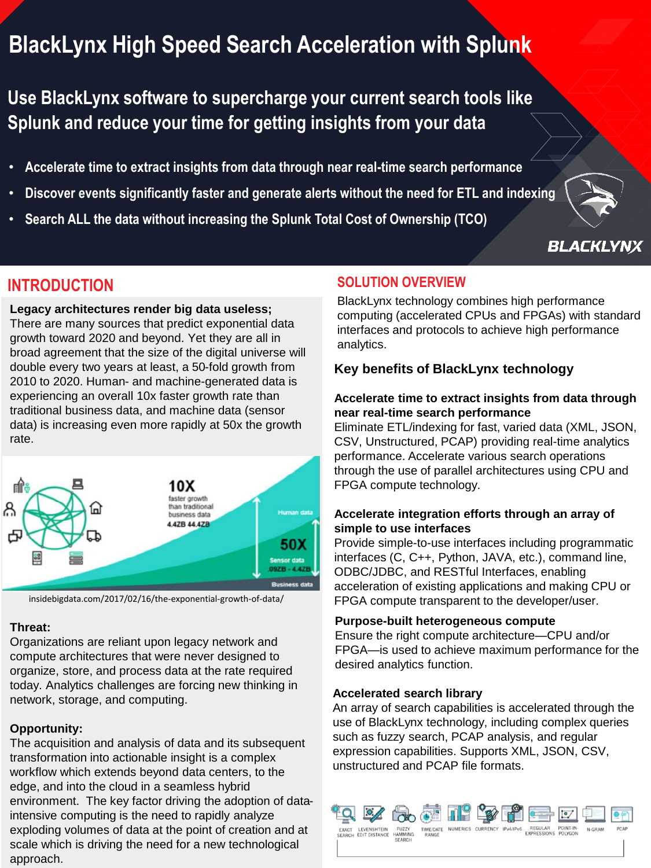# **BlackLynx High Speed Search Acceleration with Splunk**

**Use BlackLynx software to supercharge your current search tools like Splunk and reduce your time for getting insights from your data** 

- **Accelerate time to extract insights from data through near real-time search performance**
- **Discover events significantly faster and generate alerts without the need for ETL and indexing**
- **Search ALL the data without increasing the Splunk Total Cost of Ownership (TCO)**



**BLACKLYNX** 

## **INTRODUCTION**

**Legacy architectures render big data useless;** There are many sources that predict exponential data growth toward 2020 and beyond. Yet they are all in broad agreement that the size of the digital universe will double every two years at least, a 50-fold growth from 2010 to 2020. Human- and machine-generated data is experiencing an overall 10x faster growth rate than traditional business data, and machine data (sensor data) is increasing even more rapidly at 50x the growth rate.



insidebigdata.com/2017/02/16/the-exponential-growth-of-data/

#### **Threat:**

Organizations are reliant upon legacy network and compute architectures that were never designed to organize, store, and process data at the rate required today. Analytics challenges are forcing new thinking in network, storage, and computing.

#### **Opportunity:**

The acquisition and analysis of data and its subsequent transformation into actionable insight is a complex workflow which extends beyond data centers, to the edge, and into the cloud in a seamless hybrid environment. The key factor driving the adoption of dataintensive computing is the need to rapidly analyze exploding volumes of data at the point of creation and at scale which is driving the need for a new technological approach.

### **SOLUTION OVERVIEW**

BlackLynx technology combines high performance computing (accelerated CPUs and FPGAs) with standard interfaces and protocols to achieve high performance analytics.

#### **Key benefits of BlackLynx technology**

#### **Accelerate time to extract insights from data through near real-time search performance**

Eliminate ETL/indexing for fast, varied data (XML, JSON, CSV, Unstructured, PCAP) providing real-time analytics performance. Accelerate various search operations through the use of parallel architectures using CPU and FPGA compute technology.

#### **Accelerate integration efforts through an array of simple to use interfaces**

Provide simple-to-use interfaces including programmatic interfaces (C, C++, Python, JAVA, etc.), command line, ODBC/JDBC, and RESTful Interfaces, enabling acceleration of existing applications and making CPU or FPGA compute transparent to the developer/user.

#### **Purpose-built heterogeneous compute**

Ensure the right compute architecture—CPU and/or FPGA—is used to achieve maximum performance for the desired analytics function.

#### **Accelerated search library**

An array of search capabilities is accelerated through the use of BlackLynx technology, including complex queries such as fuzzy search, PCAP analysis, and regular expression capabilities. Supports XML, JSON, CSV, unstructured and PCAP file formats.